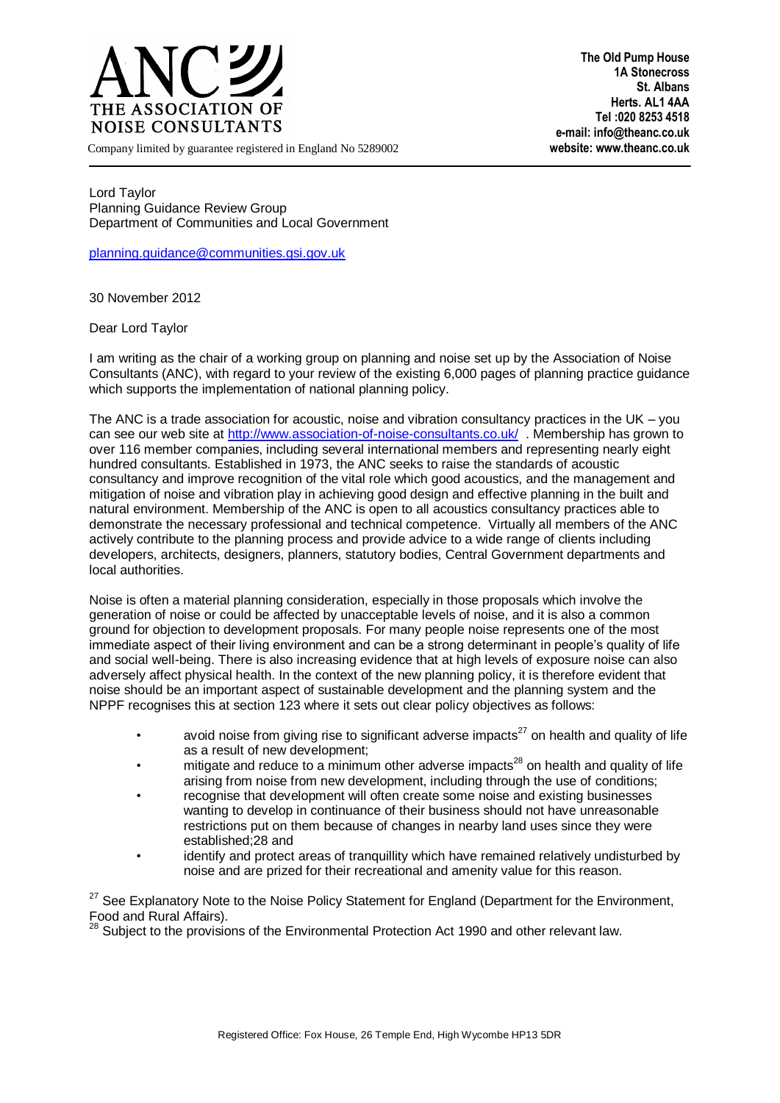

**The Old Pump House 1A Stonecross St. Albans Herts. AL1 4AA Tel :020 8253 4518 e-mail: info@theanc.co.uk**

Company limited by guarantee registered in England No 5289002 **website: www.theanc.co.uk**

Lord Taylor Planning Guidance Review Group Department of Communities and Local Government

[planning.guidance@communities.gsi.gov.uk](mailto:planning.guidance@communities.gsi.gov.uk)

30 November 2012

## Dear Lord Taylor

I am writing as the chair of a working group on planning and noise set up by the Association of Noise Consultants (ANC), with regard to your review of the existing 6,000 pages of planning practice guidance which supports the implementation of national planning policy.

The ANC is a trade association for acoustic, noise and vibration consultancy practices in the UK – you can see our web site a[t http://www.association-of-noise-consultants.co.uk/](http://www.association-of-noise-consultants.co.uk/) . Membership has grown to over 116 member companies, including several international members and representing nearly eight hundred consultants. Established in 1973, the ANC seeks to raise the standards of acoustic consultancy and improve recognition of the vital role which good acoustics, and the management and mitigation of noise and vibration play in achieving good design and effective planning in the built and natural environment. Membership of the ANC is open to all acoustics consultancy practices able to demonstrate the necessary professional and technical competence. Virtually all members of the ANC actively contribute to the planning process and provide advice to a wide range of clients including developers, architects, designers, planners, statutory bodies, Central Government departments and local authorities.

Noise is often a material planning consideration, especially in those proposals which involve the generation of noise or could be affected by unacceptable levels of noise, and it is also a common ground for objection to development proposals. For many people noise represents one of the most immediate aspect of their living environment and can be a strong determinant in people's quality of life and social well-being. There is also increasing evidence that at high levels of exposure noise can also adversely affect physical health. In the context of the new planning policy, it is therefore evident that noise should be an important aspect of sustainable development and the planning system and the NPPF recognises this at section 123 where it sets out clear policy objectives as follows:

- avoid noise from giving rise to significant adverse impacts<sup>27</sup> on health and quality of life as a result of new development;
- mitigate and reduce to a minimum other adverse impacts<sup>28</sup> on health and quality of life arising from noise from new development, including through the use of conditions;
- recognise that development will often create some noise and existing businesses wanting to develop in continuance of their business should not have unreasonable restrictions put on them because of changes in nearby land uses since they were established;28 and
- identify and protect areas of tranquillity which have remained relatively undisturbed by noise and are prized for their recreational and amenity value for this reason.

<sup>27</sup> See Explanatory Note to the Noise Policy Statement for England (Department for the Environment, Food and Rural Affairs).

 $8$  Subject to the provisions of the Environmental Protection Act 1990 and other relevant law.